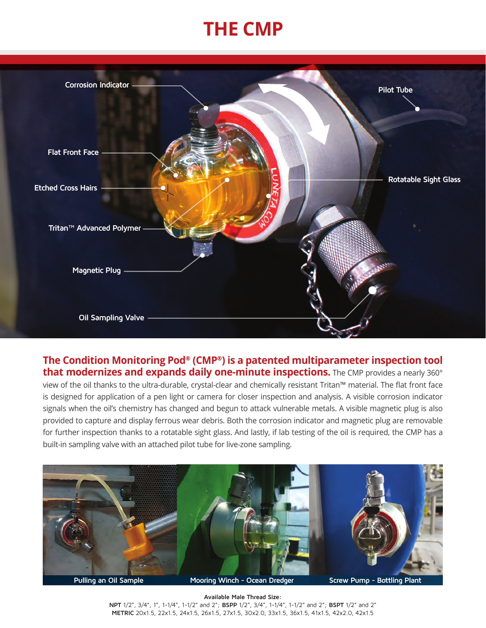## **THE CMP**



## **The Condition Monitoring Pod® (CMP®) is a patented multiparameter inspection tool**  that modernizes and expands daily one-minute inspections. The CMP provides a nearly 360°

view of the oil thanks to the ultra-durable, crystal-clear and chemically resistant Tritan™ material. The flat front face is designed for application of a pen light or camera for closer inspection and analysis. A visible corrosion indicator signals when the oil's chemistry has changed and begun to attack vulnerable metals. A visible magnetic plug is also provided to capture and display ferrous wear debris. Both the corrosion indicator and magnetic plug are removable for further inspection thanks to a rotatable sight glass. And lastly, if lab testing of the oil is required, the CMP has a built-in sampling valve with an attached pilot tube for live-zone sampling.



**Available Male Thread Size: NPT** 1/2", 3/4", 1", 1-1/4", 1-1/2" and 2"; **BSPP** 1/2", 3/4", 1-1/4", 1-1/2" and 2"; **BSPT** 1/2" and 2" **METRIC** 20x1.5, 22x1.5, 24x1.5, 26x1.5, 27x1.5, 30x2.0, 33x1.5, 36x1.5, 41x1.5, 42x2.0, 42x1.5